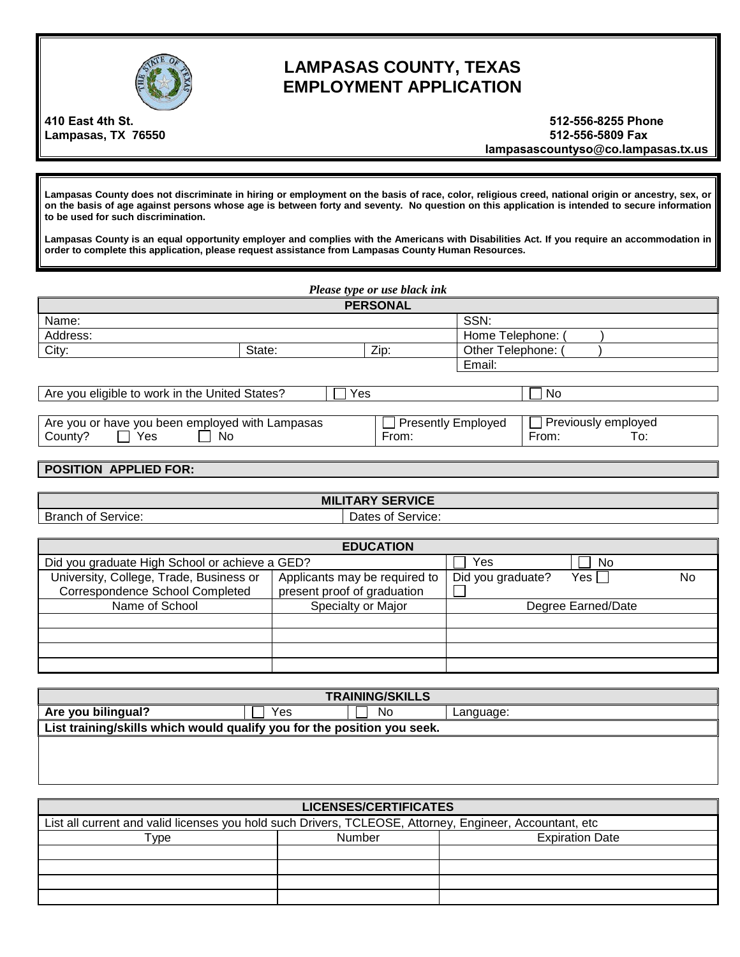

## **LAMPASAS COUNTY, TEXAS EMPLOYMENT APPLICATION**

**410 East 4th St. Lampasas, TX 76550** 

**512-556-8255 Phone 512-556-5809 Fax lampasascountyso@co.lampasas.tx.us** 

**Lampasas County does not discriminate in hiring or employment on the basis of race, color, religious creed, national origin or ancestry, sex, or on the basis of age against persons whose age is between forty and seventy. No question on this application is intended to secure information to be used for such discrimination.** 

**Lampasas County is an equal opportunity employer and complies with the Americans with Disabilities Act. If you require an accommodation in order to complete this application, please request assistance from Lampasas County Human Resources.**

| Please type or use black ink                                                                        |                 |  |              |                  |  |
|-----------------------------------------------------------------------------------------------------|-----------------|--|--------------|------------------|--|
|                                                                                                     | <b>PERSONAL</b> |  |              |                  |  |
| Name:                                                                                               |                 |  |              | SSN:             |  |
| Address:                                                                                            |                 |  |              | Home Telephone:  |  |
| City:<br>Zip:<br>State:                                                                             |                 |  |              | Other Telephone: |  |
| Email:                                                                                              |                 |  |              |                  |  |
|                                                                                                     |                 |  |              |                  |  |
| Are you eligible to work in the United States?<br><b>No</b><br>Yes                                  |                 |  |              |                  |  |
|                                                                                                     |                 |  |              |                  |  |
| $\Box$ Previously employed<br>Are you or have you been employed with Lampasas<br>Presently Employed |                 |  |              |                  |  |
| Yes<br>County?<br><b>No</b><br>From:                                                                |                 |  | From:<br>To: |                  |  |

## **POSITION APPLIED FOR:**

**MILITARY SERVICE** Branch of Service: Dates of Service:

|                                                | <b>EDUCATION</b>              |                   |                    |    |
|------------------------------------------------|-------------------------------|-------------------|--------------------|----|
| Did you graduate High School or achieve a GED? |                               | Yes               | No                 |    |
| University, College, Trade, Business or        | Applicants may be required to | Did you graduate? | Yes l              | No |
| <b>Correspondence School Completed</b>         | present proof of graduation   |                   |                    |    |
| Name of School                                 | Specialty or Major            |                   | Degree Earned/Date |    |
|                                                |                               |                   |                    |    |
|                                                |                               |                   |                    |    |
|                                                |                               |                   |                    |    |
|                                                |                               |                   |                    |    |

| <b>TRAINING/SKILLS</b>                                                  |     |    |           |  |
|-------------------------------------------------------------------------|-----|----|-----------|--|
| Are you bilingual?                                                      | Yes | No | Language: |  |
| List training/skills which would qualify you for the position you seek. |     |    |           |  |
|                                                                         |     |    |           |  |
|                                                                         |     |    |           |  |

| LICENSES/CERTIFICATES                                                                                   |        |                        |  |  |
|---------------------------------------------------------------------------------------------------------|--------|------------------------|--|--|
| List all current and valid licenses you hold such Drivers, TCLEOSE, Attorney, Engineer, Accountant, etc |        |                        |  |  |
| Type                                                                                                    | Number | <b>Expiration Date</b> |  |  |
|                                                                                                         |        |                        |  |  |
|                                                                                                         |        |                        |  |  |
|                                                                                                         |        |                        |  |  |
|                                                                                                         |        |                        |  |  |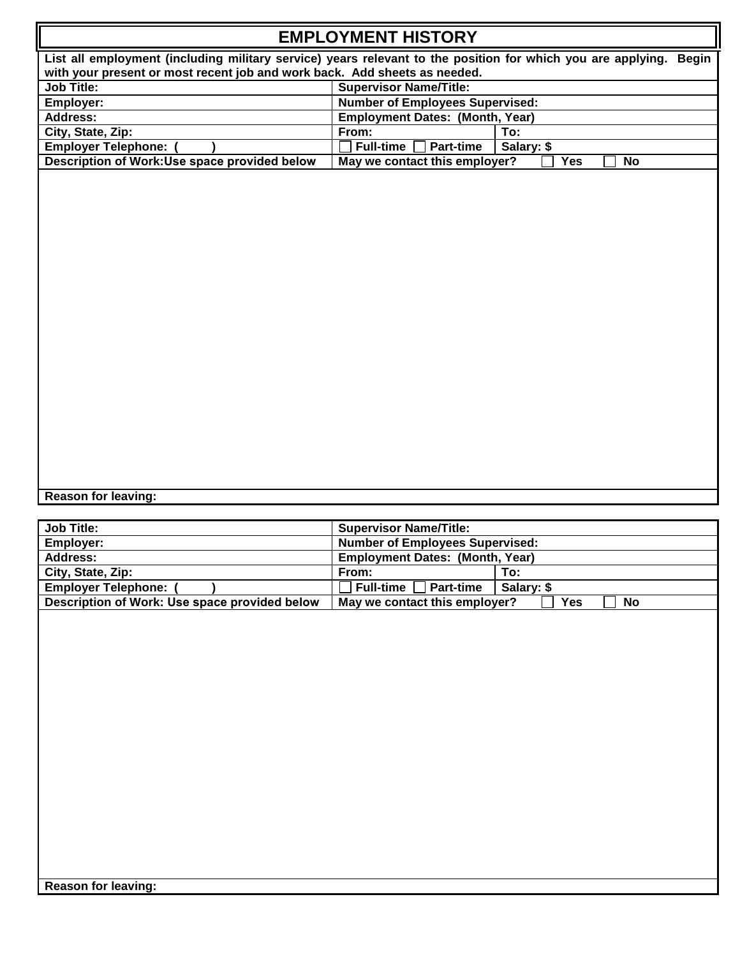| <b>EMPLOYMENT HISTORY</b>                                                                                         |                                                          |  |  |
|-------------------------------------------------------------------------------------------------------------------|----------------------------------------------------------|--|--|
| List all employment (including military service) years relevant to the position for which you are applying. Begin |                                                          |  |  |
| with your present or most recent job and work back. Add sheets as needed.                                         |                                                          |  |  |
| <b>Job Title:</b><br><b>Supervisor Name/Title:</b>                                                                |                                                          |  |  |
| Employer:                                                                                                         | <b>Number of Employees Supervised:</b>                   |  |  |
| <b>Address:</b>                                                                                                   | <b>Employment Dates: (Month, Year)</b>                   |  |  |
| City, State, Zip:                                                                                                 | From:<br>To:                                             |  |  |
| <b>Employer Telephone:</b>                                                                                        | <b>Full-time</b><br><b>Part-time</b><br>Salary: \$       |  |  |
| Description of Work:Use space provided below                                                                      | <b>Yes</b><br>May we contact this employer?<br><b>No</b> |  |  |
|                                                                                                                   |                                                          |  |  |
| <b>Reason for leaving:</b>                                                                                        |                                                          |  |  |
| Job Title:                                                                                                        | <b>Supervisor Name/Title:</b>                            |  |  |

| <b>Job Title:</b>                             | <b>Supervisor Name/Title:</b>          |            |     |           |
|-----------------------------------------------|----------------------------------------|------------|-----|-----------|
| Employer:                                     | <b>Number of Employees Supervised:</b> |            |     |           |
| <b>Address:</b>                               | <b>Employment Dates: (Month, Year)</b> |            |     |           |
| City, State, Zip:                             | From:                                  | To:        |     |           |
| <b>Employer Telephone:</b>                    | Part-time<br><b>Full-time</b>          | Salary: \$ |     |           |
| Description of Work: Use space provided below | May we contact this employer?          |            | Yes | <b>No</b> |
|                                               |                                        |            |     |           |
|                                               |                                        |            |     |           |
|                                               |                                        |            |     |           |
|                                               |                                        |            |     |           |
|                                               |                                        |            |     |           |
|                                               |                                        |            |     |           |
|                                               |                                        |            |     |           |
|                                               |                                        |            |     |           |
|                                               |                                        |            |     |           |
|                                               |                                        |            |     |           |
|                                               |                                        |            |     |           |
|                                               |                                        |            |     |           |
|                                               |                                        |            |     |           |
|                                               |                                        |            |     |           |
|                                               |                                        |            |     |           |
|                                               |                                        |            |     |           |
|                                               |                                        |            |     |           |
|                                               |                                        |            |     |           |
| <b>Reason for leaving:</b>                    |                                        |            |     |           |